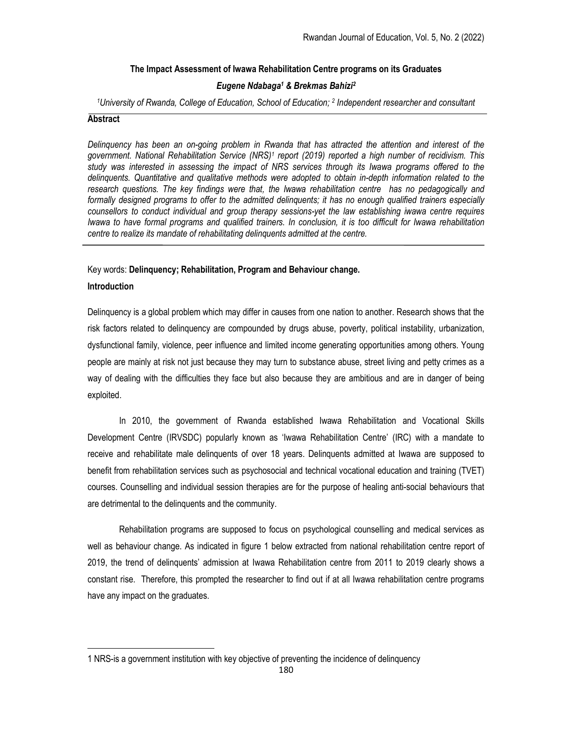# The Impact Assessment of Iwawa Rehabilitation Centre programs on its Graduates

# Eugene Ndabaga<sup>1</sup> & Brekmas Bahizi<sup>2</sup>

<sup>1</sup>University of Rwanda, College of Education, School of Education; <sup>2</sup> Independent researcher and consultant

## **Abstract**

Delinquency has been an on-going problem in Rwanda that has attracted the attention and interest of the government. National Rehabilitation Service (NRS)<sup>1</sup> report (2019) reported a high number of recidivism. This study was interested in assessing the impact of NRS services through its Iwawa programs offered to the delinquents. Quantitative and qualitative methods were adopted to obtain in-depth information related to the research questions. The key findings were that, the Iwawa rehabilitation centre has no pedagogically and formally designed programs to offer to the admitted delinquents; it has no enough qualified trainers especially counsellors to conduct individual and group therapy sessions-yet the law establishing iwawa centre requires Iwawa to have formal programs and qualified trainers. In conclusion, it is too difficult for Iwawa rehabilitation centre to realize its mandate of rehabilitating delinquents admitted at the centre.

## Key words: Delinquency; Rehabilitation, Program and Behaviour change.

## Introduction

Delinquency is a global problem which may differ in causes from one nation to another. Research shows that the risk factors related to delinquency are compounded by drugs abuse, poverty, political instability, urbanization, dysfunctional family, violence, peer influence and limited income generating opportunities among others. Young people are mainly at risk not just because they may turn to substance abuse, street living and petty crimes as a way of dealing with the difficulties they face but also because they are ambitious and are in danger of being exploited.

In 2010, the government of Rwanda established Iwawa Rehabilitation and Vocational Skills Development Centre (IRVSDC) popularly known as 'Iwawa Rehabilitation Centre' (IRC) with a mandate to receive and rehabilitate male delinquents of over 18 years. Delinquents admitted at Iwawa are supposed to benefit from rehabilitation services such as psychosocial and technical vocational education and training (TVET) courses. Counselling and individual session therapies are for the purpose of healing anti-social behaviours that are detrimental to the delinquents and the community.

Rehabilitation programs are supposed to focus on psychological counselling and medical services as well as behaviour change. As indicated in figure 1 below extracted from national rehabilitation centre report of 2019, the trend of delinquents' admission at Iwawa Rehabilitation centre from 2011 to 2019 clearly shows a constant rise. Therefore, this prompted the researcher to find out if at all Iwawa rehabilitation centre programs have any impact on the graduates.

<sup>1</sup> NRS-is a government institution with key objective of preventing the incidence of delinquency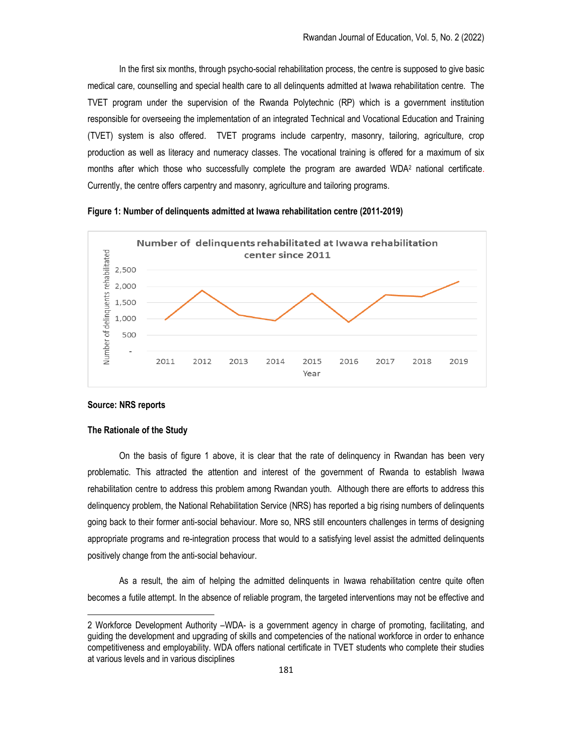In the first six months, through psycho-social rehabilitation process, the centre is supposed to give basic medical care, counselling and special health care to all delinquents admitted at Iwawa rehabilitation centre. The TVET program under the supervision of the Rwanda Polytechnic (RP) which is a government institution responsible for overseeing the implementation of an integrated Technical and Vocational Education and Training (TVET) system is also offered. TVET programs include carpentry, masonry, tailoring, agriculture, crop production as well as literacy and numeracy classes. The vocational training is offered for a maximum of six months after which those who successfully complete the program are awarded WDA<sup>2</sup> national certificate. Currently, the centre offers carpentry and masonry, agriculture and tailoring programs.





## Source: NRS reports

#### The Rationale of the Study

On the basis of figure 1 above, it is clear that the rate of delinquency in Rwandan has been very problematic. This attracted the attention and interest of the government of Rwanda to establish Iwawa rehabilitation centre to address this problem among Rwandan youth. Although there are efforts to address this delinquency problem, the National Rehabilitation Service (NRS) has reported a big rising numbers of delinquents going back to their former anti-social behaviour. More so, NRS still encounters challenges in terms of designing appropriate programs and re-integration process that would to a satisfying level assist the admitted delinquents positively change from the anti-social behaviour.

As a result, the aim of helping the admitted delinquents in Iwawa rehabilitation centre quite often becomes a futile attempt. In the absence of reliable program, the targeted interventions may not be effective and

<sup>2</sup> Workforce Development Authority –WDA- is a government agency in charge of promoting, facilitating, and guiding the development and upgrading of skills and competencies of the national workforce in order to enhance competitiveness and employability. WDA offers national certificate in TVET students who complete their studies at various levels and in various disciplines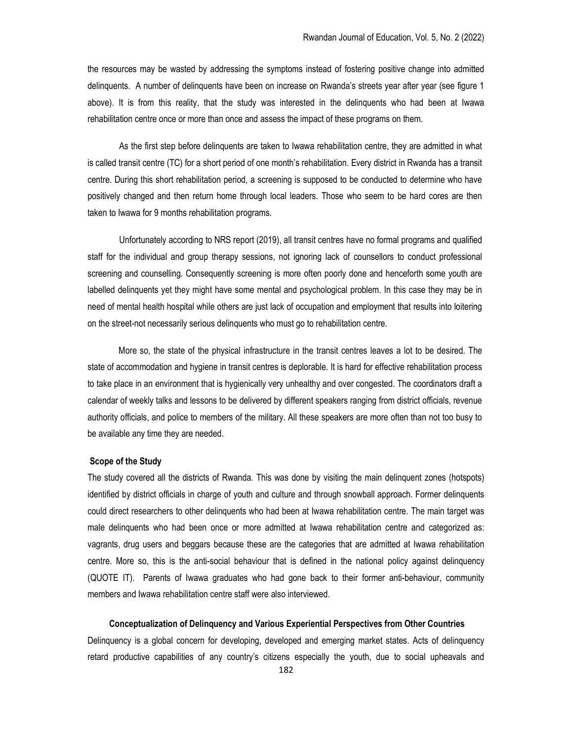the resources may be wasted by addressing the symptoms instead of fostering positive change into admitted delinquents. A number of delinquents have been on increase on Rwanda's streets year after year (see figure 1 above). It is from this reality, that the study was interested in the delinquents who had been at Iwawa rehabilitation centre once or more than once and assess the impact of these programs on them.

As the first step before delinquents are taken to Iwawa rehabilitation centre, they are admitted in what is called transit centre (TC) for a short period of one month's rehabilitation. Every district in Rwanda has a transit centre. During this short rehabilitation period, a screening is supposed to be conducted to determine who have positively changed and then return home through local leaders. Those who seem to be hard cores are then taken to Iwawa for 9 months rehabilitation programs.

Unfortunately according to NRS report (2019), all transit centres have no formal programs and qualified staff for the individual and group therapy sessions, not ignoring lack of counsellors to conduct professional screening and counselling. Consequently screening is more often poorly done and henceforth some youth are labelled delinquents yet they might have some mental and psychological problem. In this case they may be in need of mental health hospital while others are just lack of occupation and employment that results into loitering on the street-not necessarily serious delinquents who must go to rehabilitation centre.

 More so, the state of the physical infrastructure in the transit centres leaves a lot to be desired. The state of accommodation and hygiene in transit centres is deplorable. It is hard for effective rehabilitation process to take place in an environment that is hygienically very unhealthy and over congested. The coordinators draft a calendar of weekly talks and lessons to be delivered by different speakers ranging from district officials, revenue authority officials, and police to members of the military. All these speakers are more often than not too busy to be available any time they are needed.

### Scope of the Study

The study covered all the districts of Rwanda. This was done by visiting the main delinquent zones (hotspots) identified by district officials in charge of youth and culture and through snowball approach. Former delinquents could direct researchers to other delinquents who had been at Iwawa rehabilitation centre. The main target was male delinquents who had been once or more admitted at Iwawa rehabilitation centre and categorized as: vagrants, drug users and beggars because these are the categories that are admitted at Iwawa rehabilitation centre. More so, this is the anti-social behaviour that is defined in the national policy against delinquency (QUOTE IT). Parents of Iwawa graduates who had gone back to their former anti-behaviour, community members and Iwawa rehabilitation centre staff were also interviewed.

#### Conceptualization of Delinquency and Various Experiential Perspectives from Other Countries

Delinquency is a global concern for developing, developed and emerging market states. Acts of delinquency retard productive capabilities of any country's citizens especially the youth, due to social upheavals and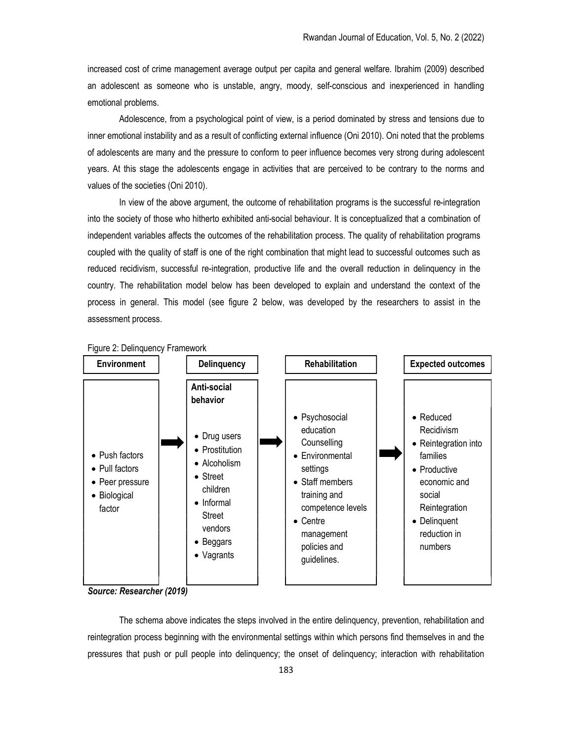increased cost of crime management average output per capita and general welfare. Ibrahim (2009) described an adolescent as someone who is unstable, angry, moody, self-conscious and inexperienced in handling emotional problems.

Adolescence, from a psychological point of view, is a period dominated by stress and tensions due to inner emotional instability and as a result of conflicting external influence (Oni 2010). Oni noted that the problems of adolescents are many and the pressure to conform to peer influence becomes very strong during adolescent years. At this stage the adolescents engage in activities that are perceived to be contrary to the norms and values of the societies (Oni 2010).

In view of the above argument, the outcome of rehabilitation programs is the successful re-integration into the society of those who hitherto exhibited anti-social behaviour. It is conceptualized that a combination of independent variables affects the outcomes of the rehabilitation process. The quality of rehabilitation programs coupled with the quality of staff is one of the right combination that might lead to successful outcomes such as reduced recidivism, successful re-integration, productive life and the overall reduction in delinquency in the country. The rehabilitation model below has been developed to explain and understand the context of the process in general. This model (see figure 2 below, was developed by the researchers to assist in the assessment process.





The schema above indicates the steps involved in the entire delinquency, prevention, rehabilitation and reintegration process beginning with the environmental settings within which persons find themselves in and the pressures that push or pull people into delinquency; the onset of delinquency; interaction with rehabilitation

Source: Researcher (2019)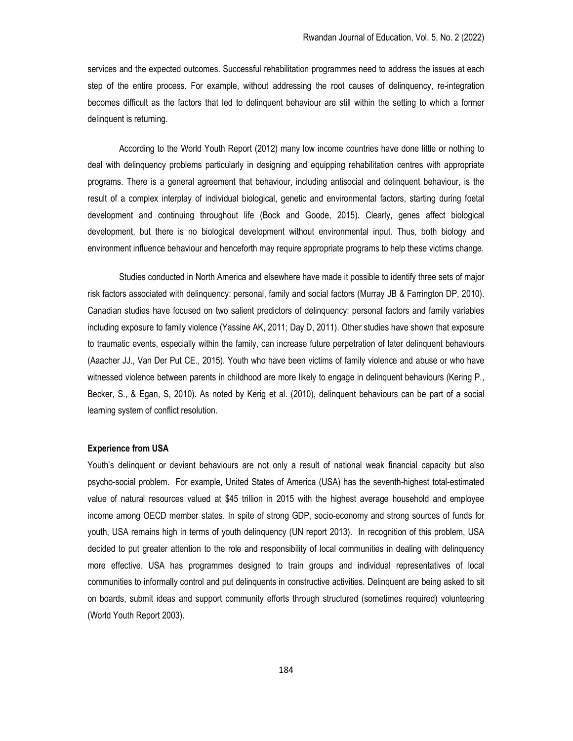services and the expected outcomes. Successful rehabilitation programmes need to address the issues at each step of the entire process. For example, without addressing the root causes of delinquency, re-integration becomes difficult as the factors that led to delinquent behaviour are still within the setting to which a former delinquent is returning.

According to the World Youth Report (2012) many low income countries have done little or nothing to deal with delinquency problems particularly in designing and equipping rehabilitation centres with appropriate programs. There is a general agreement that behaviour, including antisocial and delinquent behaviour, is the result of a complex interplay of individual biological, genetic and environmental factors, starting during foetal development and continuing throughout life (Bock and Goode, 2015). Clearly, genes affect biological development, but there is no biological development without environmental input. Thus, both biology and environment influence behaviour and henceforth may require appropriate programs to help these victims change.

Studies conducted in North America and elsewhere have made it possible to identify three sets of major risk factors associated with delinquency: personal, family and social factors (Murray JB & Farrington DP, 2010). Canadian studies have focused on two salient predictors of delinquency: personal factors and family variables including exposure to family violence (Yassine AK, 2011; Day D, 2011). Other studies have shown that exposure to traumatic events, especially within the family, can increase future perpetration of later delinquent behaviours (Aaacher JJ., Van Der Put CE., 2015). Youth who have been victims of family violence and abuse or who have witnessed violence between parents in childhood are more likely to engage in delinquent behaviours (Kering P., Becker, S., & Egan, S, 2010). As noted by Kerig et al. (2010), delinquent behaviours can be part of a social learning system of conflict resolution.

#### Experience from USA

Youth's delinquent or deviant behaviours are not only a result of national weak financial capacity but also psycho-social problem. For example, United States of America (USA) has the seventh-highest total-estimated value of natural resources valued at \$45 trillion in 2015 with the highest average household and employee income among OECD member states. In spite of strong GDP, socio-economy and strong sources of funds for youth, USA remains high in terms of youth delinquency (UN report 2013). In recognition of this problem, USA decided to put greater attention to the role and responsibility of local communities in dealing with delinquency more effective. USA has programmes designed to train groups and individual representatives of local communities to informally control and put delinquents in constructive activities. Delinquent are being asked to sit on boards, submit ideas and support community efforts through structured (sometimes required) volunteering (World Youth Report 2003).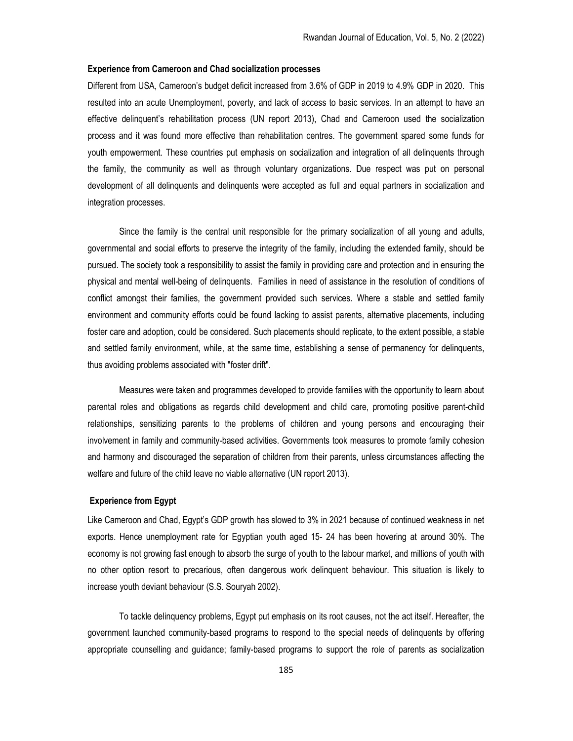### Experience from Cameroon and Chad socialization processes

Different from USA, Cameroon's budget deficit increased from 3.6% of GDP in 2019 to 4.9% GDP in 2020. This resulted into an acute Unemployment, poverty, and lack of access to basic services. In an attempt to have an effective delinquent's rehabilitation process (UN report 2013), Chad and Cameroon used the socialization process and it was found more effective than rehabilitation centres. The government spared some funds for youth empowerment. These countries put emphasis on socialization and integration of all delinquents through the family, the community as well as through voluntary organizations. Due respect was put on personal development of all delinquents and delinquents were accepted as full and equal partners in socialization and integration processes.

Since the family is the central unit responsible for the primary socialization of all young and adults, governmental and social efforts to preserve the integrity of the family, including the extended family, should be pursued. The society took a responsibility to assist the family in providing care and protection and in ensuring the physical and mental well-being of delinquents. Families in need of assistance in the resolution of conditions of conflict amongst their families, the government provided such services. Where a stable and settled family environment and community efforts could be found lacking to assist parents, alternative placements, including foster care and adoption, could be considered. Such placements should replicate, to the extent possible, a stable and settled family environment, while, at the same time, establishing a sense of permanency for delinquents, thus avoiding problems associated with "foster drift".

Measures were taken and programmes developed to provide families with the opportunity to learn about parental roles and obligations as regards child development and child care, promoting positive parent-child relationships, sensitizing parents to the problems of children and young persons and encouraging their involvement in family and community-based activities. Governments took measures to promote family cohesion and harmony and discouraged the separation of children from their parents, unless circumstances affecting the welfare and future of the child leave no viable alternative (UN report 2013).

### Experience from Egypt

Like Cameroon and Chad, Egypt's GDP growth has slowed to 3% in 2021 because of continued weakness in net exports. Hence unemployment rate for Egyptian youth aged 15- 24 has been hovering at around 30%. The economy is not growing fast enough to absorb the surge of youth to the labour market, and millions of youth with no other option resort to precarious, often dangerous work delinquent behaviour. This situation is likely to increase youth deviant behaviour (S.S. Souryah 2002).

To tackle delinquency problems, Egypt put emphasis on its root causes, not the act itself. Hereafter, the government launched community-based programs to respond to the special needs of delinquents by offering appropriate counselling and guidance; family-based programs to support the role of parents as socialization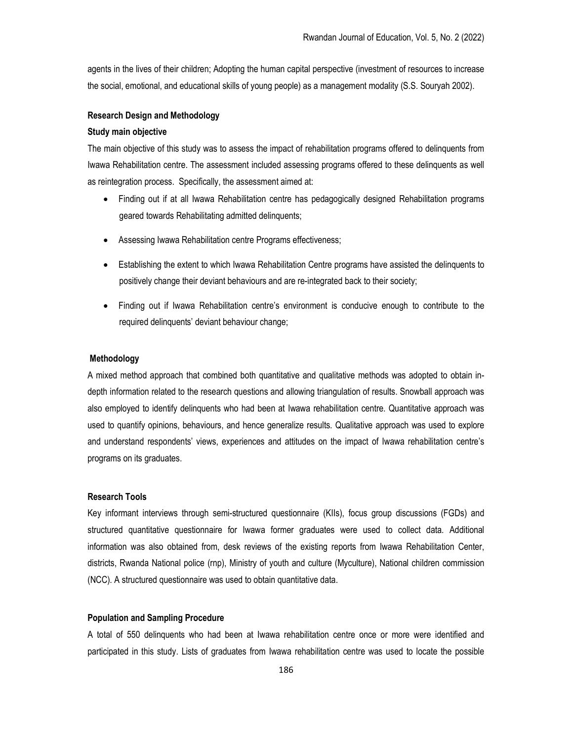agents in the lives of their children; Adopting the human capital perspective (investment of resources to increase the social, emotional, and educational skills of young people) as a management modality (S.S. Souryah 2002).

## Research Design and Methodology

#### Study main objective

The main objective of this study was to assess the impact of rehabilitation programs offered to delinquents from Iwawa Rehabilitation centre. The assessment included assessing programs offered to these delinquents as well as reintegration process. Specifically, the assessment aimed at:

- Finding out if at all Iwawa Rehabilitation centre has pedagogically designed Rehabilitation programs geared towards Rehabilitating admitted delinquents;
- Assessing Iwawa Rehabilitation centre Programs effectiveness;
- Establishing the extent to which Iwawa Rehabilitation Centre programs have assisted the delinquents to positively change their deviant behaviours and are re-integrated back to their society;
- Finding out if Iwawa Rehabilitation centre's environment is conducive enough to contribute to the required delinquents' deviant behaviour change;

### Methodology

A mixed method approach that combined both quantitative and qualitative methods was adopted to obtain indepth information related to the research questions and allowing triangulation of results. Snowball approach was also employed to identify delinquents who had been at Iwawa rehabilitation centre. Quantitative approach was used to quantify opinions, behaviours, and hence generalize results. Qualitative approach was used to explore and understand respondents' views, experiences and attitudes on the impact of Iwawa rehabilitation centre's programs on its graduates.

#### Research Tools

Key informant interviews through semi-structured questionnaire (KIIs), focus group discussions (FGDs) and structured quantitative questionnaire for Iwawa former graduates were used to collect data. Additional information was also obtained from, desk reviews of the existing reports from Iwawa Rehabilitation Center, districts, Rwanda National police (rnp), Ministry of youth and culture (Myculture), National children commission (NCC). A structured questionnaire was used to obtain quantitative data.

#### Population and Sampling Procedure

A total of 550 delinquents who had been at Iwawa rehabilitation centre once or more were identified and participated in this study. Lists of graduates from Iwawa rehabilitation centre was used to locate the possible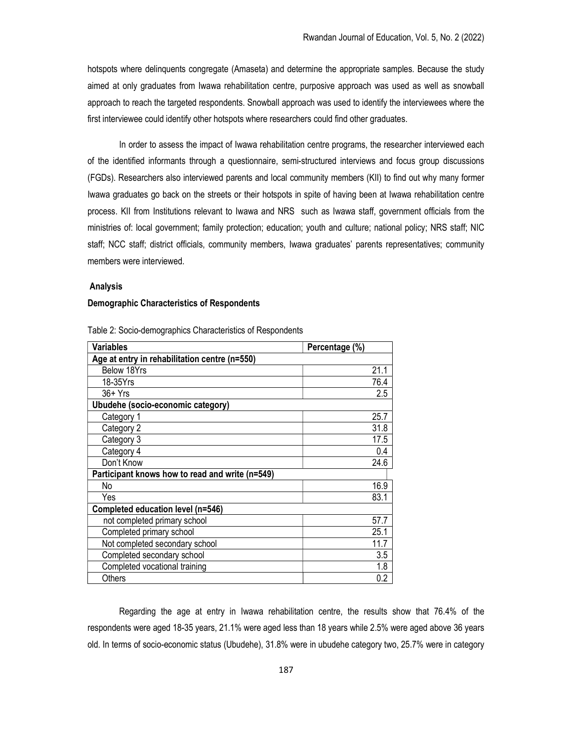hotspots where delinquents congregate (Amaseta) and determine the appropriate samples. Because the study aimed at only graduates from Iwawa rehabilitation centre, purposive approach was used as well as snowball approach to reach the targeted respondents. Snowball approach was used to identify the interviewees where the first interviewee could identify other hotspots where researchers could find other graduates.

In order to assess the impact of Iwawa rehabilitation centre programs, the researcher interviewed each of the identified informants through a questionnaire, semi-structured interviews and focus group discussions (FGDs). Researchers also interviewed parents and local community members (KII) to find out why many former Iwawa graduates go back on the streets or their hotspots in spite of having been at Iwawa rehabilitation centre process. KII from Institutions relevant to Iwawa and NRS such as Iwawa staff, government officials from the ministries of: local government; family protection; education; youth and culture; national policy; NRS staff; NIC staff; NCC staff; district officials, community members, Iwawa graduates' parents representatives; community members were interviewed.

### Analysis

#### Demographic Characteristics of Respondents

| <b>Variables</b>                                | Percentage (%) |  |
|-------------------------------------------------|----------------|--|
| Age at entry in rehabilitation centre (n=550)   |                |  |
| Below 18Yrs                                     | 21.1           |  |
| 18-35Yrs                                        | 76.4           |  |
| $36+Yrs$                                        | 2.5            |  |
| Ubudehe (socio-economic category)               |                |  |
| Category 1                                      | 25.7           |  |
| Category 2                                      | 31.8           |  |
| Category 3                                      | 17.5           |  |
| Category 4                                      | 0.4            |  |
| Don't Know                                      | 24.6           |  |
| Participant knows how to read and write (n=549) |                |  |
| No                                              | 16.9           |  |
| Yes                                             | 83.1           |  |
| Completed education level (n=546)               |                |  |
| not completed primary school                    | 57.7           |  |
| Completed primary school                        | 25.1           |  |
| Not completed secondary school                  | 11.7           |  |
| Completed secondary school                      | 3.5            |  |
| Completed vocational training                   | 1.8            |  |
| Others                                          | 0.2            |  |

Table 2: Socio-demographics Characteristics of Respondents

Regarding the age at entry in Iwawa rehabilitation centre, the results show that 76.4% of the respondents were aged 18-35 years, 21.1% were aged less than 18 years while 2.5% were aged above 36 years old. In terms of socio-economic status (Ubudehe), 31.8% were in ubudehe category two, 25.7% were in category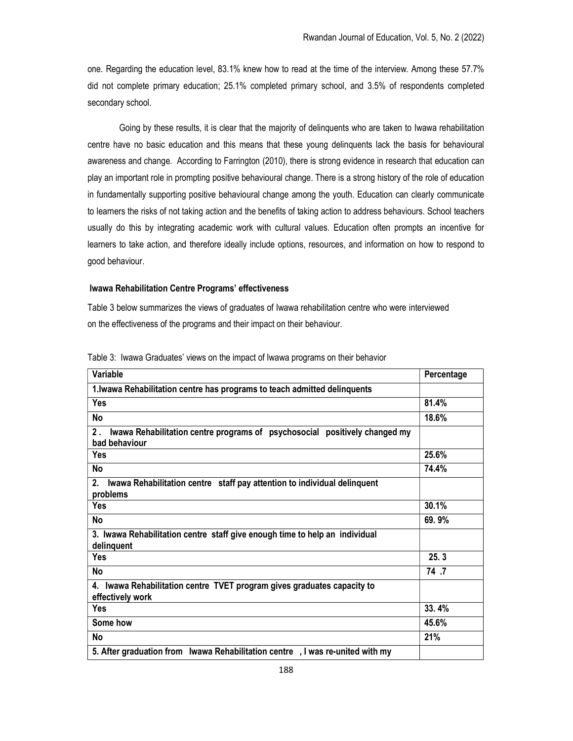one. Regarding the education level, 83.1% knew how to read at the time of the interview. Among these 57.7% did not complete primary education; 25.1% completed primary school, and 3.5% of respondents completed secondary school.

Going by these results, it is clear that the majority of delinquents who are taken to Iwawa rehabilitation centre have no basic education and this means that these young delinquents lack the basis for behavioural awareness and change. According to Farrington (2010), there is strong evidence in research that education can play an important role in prompting positive behavioural change. There is a strong history of the role of education in fundamentally supporting positive behavioural change among the youth. Education can clearly communicate to learners the risks of not taking action and the benefits of taking action to address behaviours. School teachers usually do this by integrating academic work with cultural values. Education often prompts an incentive for learners to take action, and therefore ideally include options, resources, and information on how to respond to good behaviour.

### Iwawa Rehabilitation Centre Programs' effectiveness

Table 3 below summarizes the views of graduates of Iwawa rehabilitation centre who were interviewed on the effectiveness of the programs and their impact on their behaviour.

| Variable                                                                                          | Percentage |
|---------------------------------------------------------------------------------------------------|------------|
| 1. Iwawa Rehabilitation centre has programs to teach admitted delinquents                         |            |
| <b>Yes</b>                                                                                        | 81.4%      |
| <b>No</b>                                                                                         | 18.6%      |
| 2.<br>Iwawa Rehabilitation centre programs of psychosocial positively changed my<br>bad behaviour |            |
| <b>Yes</b>                                                                                        | 25.6%      |
| No                                                                                                | 74.4%      |
| Iwawa Rehabilitation centre staff pay attention to individual delinquent<br>2.<br>problems        |            |
| <b>Yes</b>                                                                                        | 30.1%      |
| <b>No</b>                                                                                         | 69.9%      |
| 3. Iwawa Rehabilitation centre staff give enough time to help an individual<br>delinquent         |            |
| Yes                                                                                               | 25.3       |
| Νo                                                                                                | 74 .7      |
| 4. Iwawa Rehabilitation centre TVET program gives graduates capacity to<br>effectively work       |            |
| Yes                                                                                               | 33.4%      |
| Some how                                                                                          | 45.6%      |
| <b>No</b>                                                                                         | 21%        |
| 5. After graduation from Iwawa Rehabilitation centre, I was re-united with my                     |            |

Table 3: Iwawa Graduates' views on the impact of Iwawa programs on their behavior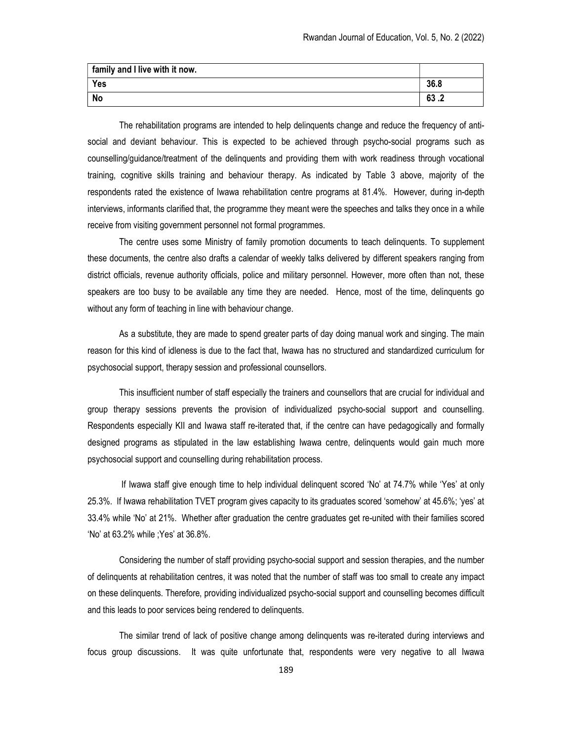| family and I live with it now. |      |
|--------------------------------|------|
| Yes                            | 36.8 |
| <b>No</b>                      | 63.2 |

The rehabilitation programs are intended to help delinquents change and reduce the frequency of antisocial and deviant behaviour. This is expected to be achieved through psycho-social programs such as counselling/guidance/treatment of the delinquents and providing them with work readiness through vocational training, cognitive skills training and behaviour therapy. As indicated by Table 3 above, majority of the respondents rated the existence of Iwawa rehabilitation centre programs at 81.4%. However, during in-depth interviews, informants clarified that, the programme they meant were the speeches and talks they once in a while receive from visiting government personnel not formal programmes.

The centre uses some Ministry of family promotion documents to teach delinquents. To supplement these documents, the centre also drafts a calendar of weekly talks delivered by different speakers ranging from district officials, revenue authority officials, police and military personnel. However, more often than not, these speakers are too busy to be available any time they are needed. Hence, most of the time, delinquents go without any form of teaching in line with behaviour change.

As a substitute, they are made to spend greater parts of day doing manual work and singing. The main reason for this kind of idleness is due to the fact that, Iwawa has no structured and standardized curriculum for psychosocial support, therapy session and professional counsellors.

This insufficient number of staff especially the trainers and counsellors that are crucial for individual and group therapy sessions prevents the provision of individualized psycho-social support and counselling. Respondents especially KII and Iwawa staff re-iterated that, if the centre can have pedagogically and formally designed programs as stipulated in the law establishing Iwawa centre, delinquents would gain much more psychosocial support and counselling during rehabilitation process.

 If Iwawa staff give enough time to help individual delinquent scored 'No' at 74.7% while 'Yes' at only 25.3%. If Iwawa rehabilitation TVET program gives capacity to its graduates scored 'somehow' at 45.6%; 'yes' at 33.4% while 'No' at 21%. Whether after graduation the centre graduates get re-united with their families scored 'No' at 63.2% while ;Yes' at 36.8%.

Considering the number of staff providing psycho-social support and session therapies, and the number of delinquents at rehabilitation centres, it was noted that the number of staff was too small to create any impact on these delinquents. Therefore, providing individualized psycho-social support and counselling becomes difficult and this leads to poor services being rendered to delinquents.

The similar trend of lack of positive change among delinquents was re-iterated during interviews and focus group discussions. It was quite unfortunate that, respondents were very negative to all Iwawa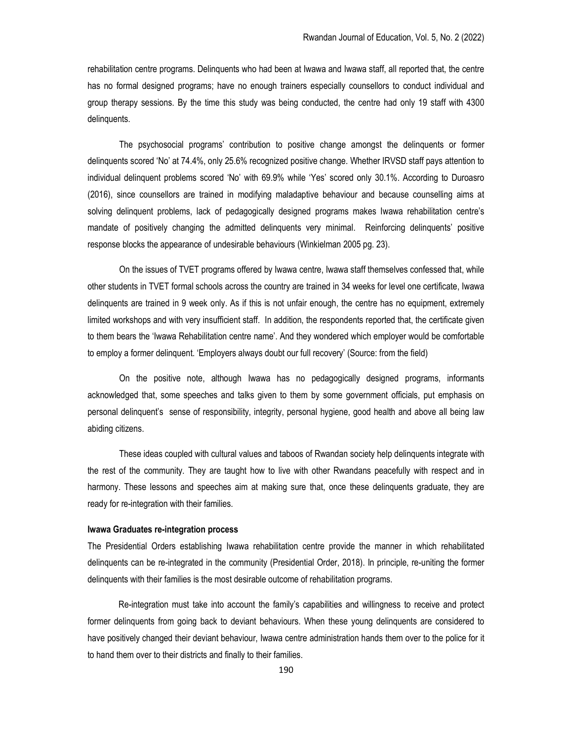rehabilitation centre programs. Delinquents who had been at Iwawa and Iwawa staff, all reported that, the centre has no formal designed programs; have no enough trainers especially counsellors to conduct individual and group therapy sessions. By the time this study was being conducted, the centre had only 19 staff with 4300 delinquents.

The psychosocial programs' contribution to positive change amongst the delinquents or former delinquents scored 'No' at 74.4%, only 25.6% recognized positive change. Whether IRVSD staff pays attention to individual delinquent problems scored 'No' with 69.9% while 'Yes' scored only 30.1%. According to Duroasro (2016), since counsellors are trained in modifying maladaptive behaviour and because counselling aims at solving delinquent problems, lack of pedagogically designed programs makes Iwawa rehabilitation centre's mandate of positively changing the admitted delinquents very minimal. Reinforcing delinquents' positive response blocks the appearance of undesirable behaviours (Winkielman 2005 pg. 23).

On the issues of TVET programs offered by Iwawa centre, Iwawa staff themselves confessed that, while other students in TVET formal schools across the country are trained in 34 weeks for level one certificate, Iwawa delinquents are trained in 9 week only. As if this is not unfair enough, the centre has no equipment, extremely limited workshops and with very insufficient staff. In addition, the respondents reported that, the certificate given to them bears the 'Iwawa Rehabilitation centre name'. And they wondered which employer would be comfortable to employ a former delinquent. 'Employers always doubt our full recovery' (Source: from the field)

On the positive note, although Iwawa has no pedagogically designed programs, informants acknowledged that, some speeches and talks given to them by some government officials, put emphasis on personal delinquent's sense of responsibility, integrity, personal hygiene, good health and above all being law abiding citizens.

These ideas coupled with cultural values and taboos of Rwandan society help delinquents integrate with the rest of the community. They are taught how to live with other Rwandans peacefully with respect and in harmony. These lessons and speeches aim at making sure that, once these delinquents graduate, they are ready for re-integration with their families.

### Iwawa Graduates re-integration process

The Presidential Orders establishing Iwawa rehabilitation centre provide the manner in which rehabilitated delinquents can be re-integrated in the community (Presidential Order, 2018). In principle, re-uniting the former delinquents with their families is the most desirable outcome of rehabilitation programs.

 Re-integration must take into account the family's capabilities and willingness to receive and protect former delinquents from going back to deviant behaviours. When these young delinquents are considered to have positively changed their deviant behaviour, Iwawa centre administration hands them over to the police for it to hand them over to their districts and finally to their families.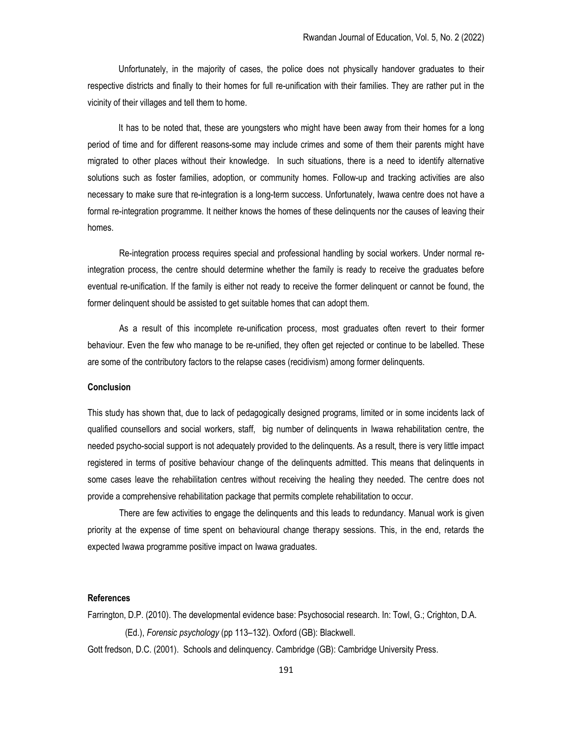Unfortunately, in the majority of cases, the police does not physically handover graduates to their respective districts and finally to their homes for full re-unification with their families. They are rather put in the vicinity of their villages and tell them to home.

 It has to be noted that, these are youngsters who might have been away from their homes for a long period of time and for different reasons-some may include crimes and some of them their parents might have migrated to other places without their knowledge. In such situations, there is a need to identify alternative solutions such as foster families, adoption, or community homes. Follow-up and tracking activities are also necessary to make sure that re-integration is a long-term success. Unfortunately, Iwawa centre does not have a formal re-integration programme. It neither knows the homes of these delinquents nor the causes of leaving their homes.

Re-integration process requires special and professional handling by social workers. Under normal reintegration process, the centre should determine whether the family is ready to receive the graduates before eventual re-unification. If the family is either not ready to receive the former delinquent or cannot be found, the former delinquent should be assisted to get suitable homes that can adopt them.

As a result of this incomplete re-unification process, most graduates often revert to their former behaviour. Even the few who manage to be re-unified, they often get rejected or continue to be labelled. These are some of the contributory factors to the relapse cases (recidivism) among former delinquents.

## **Conclusion**

This study has shown that, due to lack of pedagogically designed programs, limited or in some incidents lack of qualified counsellors and social workers, staff, big number of delinquents in Iwawa rehabilitation centre, the needed psycho-social support is not adequately provided to the delinquents. As a result, there is very little impact registered in terms of positive behaviour change of the delinquents admitted. This means that delinquents in some cases leave the rehabilitation centres without receiving the healing they needed. The centre does not provide a comprehensive rehabilitation package that permits complete rehabilitation to occur.

There are few activities to engage the delinquents and this leads to redundancy. Manual work is given priority at the expense of time spent on behavioural change therapy sessions. This, in the end, retards the expected Iwawa programme positive impact on Iwawa graduates.

# References

Farrington, D.P. (2010). The developmental evidence base: Psychosocial research. In: Towl, G.; Crighton, D.A. (Ed.), Forensic psychology (pp 113–132). Oxford (GB): Blackwell. Gott fredson, D.C. (2001). Schools and delinquency. Cambridge (GB): Cambridge University Press.